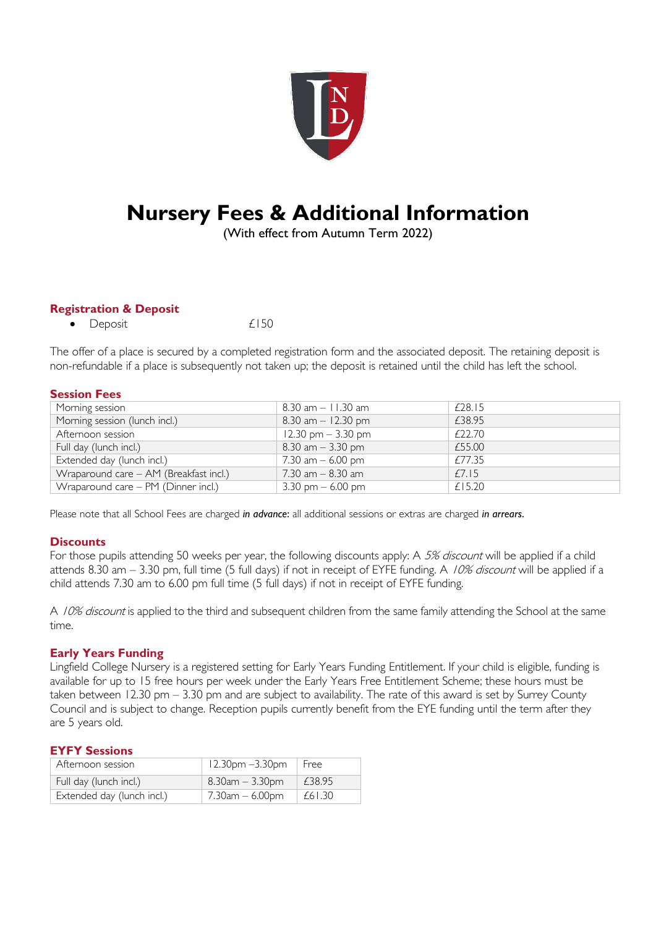

# **Nursery Fees & Additional Information**

(With effect from Autumn Term 2022)

# **Registration & Deposit**

• Deposit  $£150$ 

The offer of a place is secured by a completed registration form and the associated deposit. The retaining deposit is non-refundable if a place is subsequently not taken up; the deposit is retained until the child has left the school.

## **Session Fees**

| Morning session                                         | $8.30$ am $-11.30$ am | £28.15 |  |
|---------------------------------------------------------|-----------------------|--------|--|
| Morning session (lunch incl.)                           | $8.30$ am $-12.30$ pm | £38.95 |  |
| Afternoon session                                       | 12.30 pm $-$ 3.30 pm  | £22.70 |  |
| Full day (lunch incl.)                                  | $8.30$ am $-3.30$ pm  | £55.00 |  |
| Extended day (lunch incl.)                              | 7.30 am $-6.00$ pm    | £77.35 |  |
| Wraparound care - AM (Breakfast incl.)                  | $7.30$ am $-8.30$ am  | £7.15  |  |
| $\overline{\text{Wraparound}}$ care – PM (Dinner incl.) | 3.30 pm $-6.00$ pm    | £15.20 |  |

Please note that all School Fees are charged *in advance*: all additional sessions or extras are charged *in arrears*.

# **Discounts**

For those pupils attending 50 weeks per year, the following discounts apply: A 5% discount will be applied if a child attends 8.30 am  $-$  3.30 pm, full time (5 full days) if not in receipt of EYFE funding. A 10% discount will be applied if a child attends 7.30 am to 6.00 pm full time (5 full days) if not in receipt of EYFE funding.

A 10% discount is applied to the third and subsequent children from the same family attending the School at the same time.

# **Early Years Funding**

Lingfield College Nursery is a registered setting for Early Years Funding Entitlement. If your child is eligible, funding is available for up to 15 free hours per week under the Early Years Free Entitlement Scheme; these hours must be taken between 12.30 pm – 3.30 pm and are subject to availability. The rate of this award is set by Surrey County Council and is subject to change. Reception pupils currently benefit from the EYE funding until the term after they are 5 years old.

## **EYFY Sessions**

| Afternoon session          | $^+$ 12.30pm $-3.30$ pm | l Free |
|----------------------------|-------------------------|--------|
| Full day (lunch incl.)     | $8.30$ am $-3.30$ pm    | £38.95 |
| Extended day (lunch incl.) | $7.30$ am $-6.00$ pm    | £61.30 |